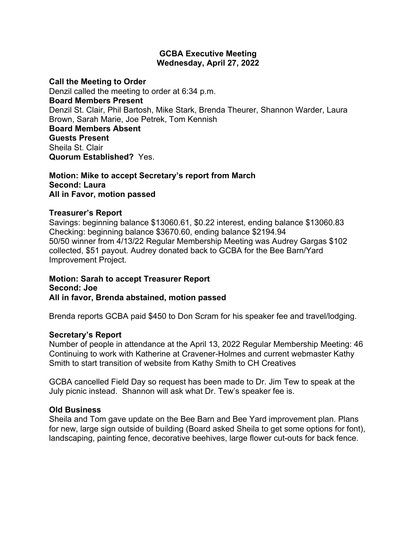#### **GCBA Executive Meeting Wednesday, April 27, 2022**

**Call the Meeting to Order**

Denzil called the meeting to order at 6:34 p.m. **Board Members Present** Denzil St. Clair, Phil Bartosh, Mike Stark, Brenda Theurer, Shannon Warder, Laura Brown, Sarah Marie, Joe Petrek, Tom Kennish **Board Members Absent Guests Present** Sheila St. Clair

**Quorum Established?** Yes.

#### **Motion: Mike to accept Secretary's report from March Second: Laura All in Favor, motion passed**

# **Treasurer's Report**

Savings: beginning balance \$13060.61, \$0.22 interest, ending balance \$13060.83 Checking: beginning balance \$3670.60, ending balance \$2194.94 50/50 winner from 4/13/22 Regular Membership Meeting was Audrey Gargas \$102 collected, \$51 payout. Audrey donated back to GCBA for the Bee Barn/Yard Improvement Project.

#### **Motion: Sarah to accept Treasurer Report Second: Joe All in favor, Brenda abstained, motion passed**

Brenda reports GCBA paid \$450 to Don Scram for his speaker fee and travel/lodging.

#### **Secretary's Report**

Number of people in attendance at the April 13, 2022 Regular Membership Meeting: 46 Continuing to work with Katherine at Cravener-Holmes and current webmaster Kathy Smith to start transition of website from Kathy Smith to CH Creatives

GCBA cancelled Field Day so request has been made to Dr. Jim Tew to speak at the July picnic instead. Shannon will ask what Dr. Tew's speaker fee is.

# **Old Business**

Sheila and Tom gave update on the Bee Barn and Bee Yard improvement plan. Plans for new, large sign outside of building (Board asked Sheila to get some options for font), landscaping, painting fence, decorative beehives, large flower cut-outs for back fence.